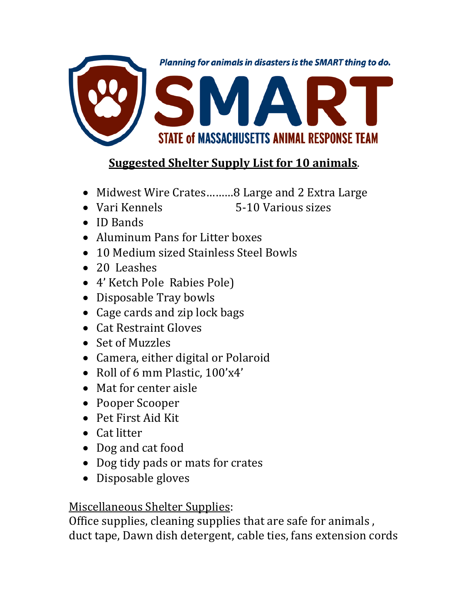

## **Suggested Shelter Supply List for 10 animals**.

- Midwest Wire Crates.........8 Large and 2 Extra Large
- Vari Kennels 5-10 Various sizes
- ID Bands
- Aluminum Pans for Litter boxes
- 10 Medium sized Stainless Steel Bowls
- 20 Leashes
- 4' Ketch Pole Rabies Pole)
- Disposable Tray bowls
- Cage cards and zip lock bags
- Cat Restraint Gloves
- Set of Muzzles
- Camera, either digital or Polaroid
- Roll of 6 mm Plastic,  $100'x4'$
- Mat for center aisle
- Pooper Scooper
- Pet First Aid Kit
- Cat litter
- Dog and cat food
- Dog tidy pads or mats for crates
- Disposable gloves

## Miscellaneous Shelter Supplies:

Office supplies, cleaning supplies that are safe for animals , duct tape, Dawn dish detergent, cable ties, fans extension cords